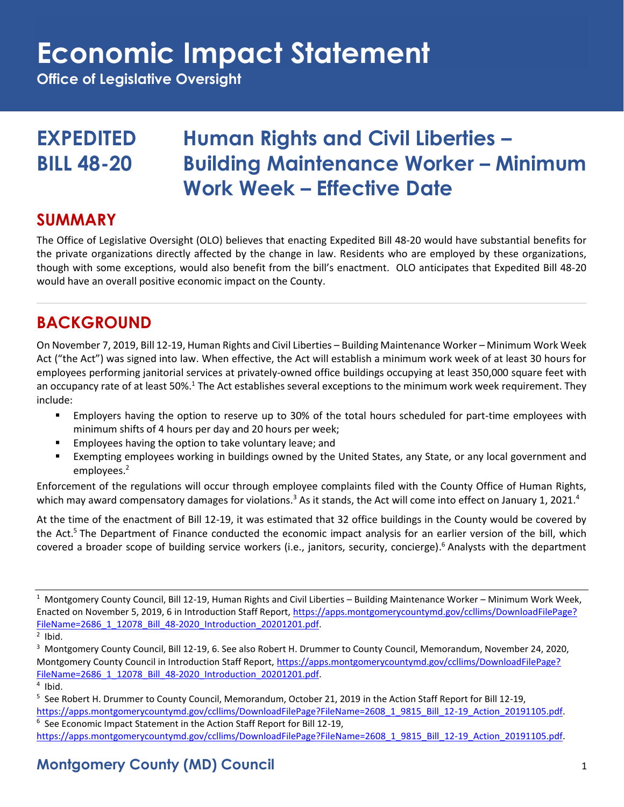**Office of Legislative Oversight**

### **EXPEDITED Human Rights and Civil Liberties – BILL 48-20 Building Maintenance Worker – Minimum Work Week – Effective Date**

#### **SUMMARY**

The Office of Legislative Oversight (OLO) believes that enacting Expedited Bill 48-20 would have substantial benefits for the private organizations directly affected by the change in law. Residents who are employed by these organizations, though with some exceptions, would also benefit from the bill's enactment. OLO anticipates that Expedited Bill 48-20 would have an overall positive economic impact on the County.

### **BACKGROUND**

On November 7, 2019, Bill 12-19, Human Rights and Civil Liberties – Building Maintenance Worker – Minimum Work Week Act ("the Act") was signed into law. When effective, the Act will establish a minimum work week of at least 30 hours for employees performing janitorial services at privately-owned office buildings occupying at least 350,000 square feet with an occupancy rate of at least 50%.<sup>1</sup> The Act establishes several exceptions to the minimum work week requirement. They include:

- Employers having the option to reserve up to 30% of the total hours scheduled for part-time employees with minimum shifts of 4 hours per day and 20 hours per week;
- Employees having the option to take voluntary leave; and
- Exempting employees working in buildings owned by the United States, any State, or any local government and employees. 2

Enforcement of the regulations will occur through employee complaints filed with the County Office of Human Rights, which may award compensatory damages for violations.<sup>3</sup> As it stands, the Act will come into effect on January 1, 2021.<sup>4</sup>

At the time of the enactment of Bill 12-19, it was estimated that 32 office buildings in the County would be covered by the Act.<sup>5</sup> The Department of Finance conducted the economic impact analysis for an earlier version of the bill, which covered a broader scope of building service workers (i.e., janitors, security, concierge). <sup>6</sup> Analysts with the department

<sup>&</sup>lt;sup>1</sup> Montgomery County Council, Bill 12-19, Human Rights and Civil Liberties - Building Maintenance Worker - Minimum Work Week, Enacted on November 5, 2019, 6 in Introduction Staff Report[, https://apps.montgomerycountymd.gov/ccllims/DownloadFilePage?](https://apps.montgomerycountymd.gov/ccllims/DownloadFilePage?FileName=2686_1_12078_Bill_48-2020_Introduction_20201201.pdf) [FileName=2686\\_1\\_12078\\_Bill\\_48-2020\\_Introduction\\_20201201.pdf.](https://apps.montgomerycountymd.gov/ccllims/DownloadFilePage?FileName=2686_1_12078_Bill_48-2020_Introduction_20201201.pdf)

 $2$  Ibid.

<sup>&</sup>lt;sup>3</sup> Montgomery County Council, Bill 12-19, 6. See also Robert H. Drummer to County Council, Memorandum, November 24, 2020, Montgomery County Council in Introduction Staff Report[, https://apps.montgomerycountymd.gov/ccllims/DownloadFilePage?](https://apps.montgomerycountymd.gov/ccllims/DownloadFilePage?FileName=2686_1_12078_Bill_48-2020_Introduction_20201201.pdf) [FileName=2686\\_1\\_12078\\_Bill\\_48-2020\\_Introduction\\_20201201.pdf.](https://apps.montgomerycountymd.gov/ccllims/DownloadFilePage?FileName=2686_1_12078_Bill_48-2020_Introduction_20201201.pdf)

<sup>4</sup> Ibid.

<sup>&</sup>lt;sup>5</sup> See Robert H. Drummer to County Council, Memorandum, October 21, 2019 in the Action Staff Report for Bill 12-19, https://apps.montgomerycountymd.gov/ccllims/DownloadFilePage?FileName=2608\_1\_9815\_Bill\_12-19\_Action\_20191105.pdf. <sup>6</sup> See Economic Impact Statement in the Action Staff Report for Bill 12-19,

https://apps.montgomerycountymd.gov/ccllims/DownloadFilePage?FileName=2608\_1\_9815\_Bill\_12-19\_Action\_20191105.pdf.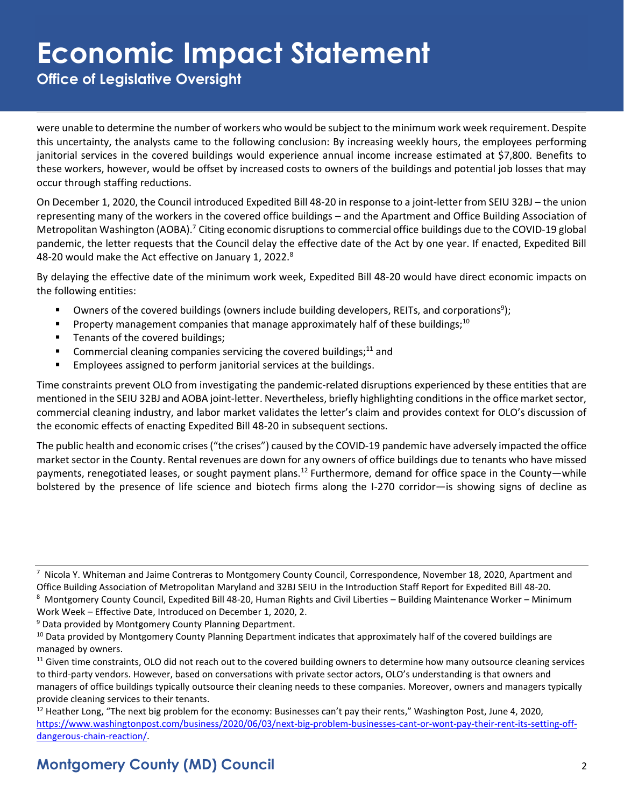**Office of Legislative Oversight**

were unable to determine the number of workers who would be subject to the minimum work week requirement. Despite this uncertainty, the analysts came to the following conclusion: By increasing weekly hours, the employees performing janitorial services in the covered buildings would experience annual income increase estimated at \$7,800. Benefits to these workers, however, would be offset by increased costs to owners of the buildings and potential job losses that may occur through staffing reductions.

On December 1, 2020, the Council introduced Expedited Bill 48-20 in response to a joint-letter from SEIU 32BJ – the union representing many of the workers in the covered office buildings – and the Apartment and Office Building Association of Metropolitan Washington (AOBA).<sup>7</sup> Citing economic disruptions to commercial office buildings due to the COVID-19 global pandemic, the letter requests that the Council delay the effective date of the Act by one year. If enacted, Expedited Bill 48-20 would make the Act effective on January 1, 2022.<sup>8</sup>

By delaying the effective date of the minimum work week, Expedited Bill 48-20 would have direct economic impacts on the following entities:

- Owners of the covered buildings (owners include building developers, REITs, and corporations<sup>9</sup>);
- **•** Property management companies that manage approximately half of these buildings;<sup>10</sup>
- Tenants of the covered buildings;
- **•** Commercial cleaning companies servicing the covered buildings;<sup>11</sup> and
- Employees assigned to perform janitorial services at the buildings.

Time constraints prevent OLO from investigating the pandemic-related disruptions experienced by these entities that are mentioned in the SEIU 32BJ and AOBA joint-letter. Nevertheless, briefly highlighting conditions in the office market sector, commercial cleaning industry, and labor market validates the letter's claim and provides context for OLO's discussion of the economic effects of enacting Expedited Bill 48-20 in subsequent sections.

The public health and economic crises ("the crises") caused by the COVID-19 pandemic have adversely impacted the office market sector in the County. Rental revenues are down for any owners of office buildings due to tenants who have missed payments, renegotiated leases, or sought payment plans.<sup>12</sup> Furthermore, demand for office space in the County—while bolstered by the presence of life science and biotech firms along the I-270 corridor—is showing signs of decline as

 $^7$  Nicola Y. Whiteman and Jaime Contreras to Montgomery County Council, Correspondence, November 18, 2020, Apartment and Office Building Association of Metropolitan Maryland and 32BJ SEIU in the Introduction Staff Report for Expedited Bill 48-20.

<sup>8</sup> Montgomery County Council, Expedited Bill 48-20, Human Rights and Civil Liberties – Building Maintenance Worker – Minimum Work Week – Effective Date, Introduced on December 1, 2020, 2.

<sup>&</sup>lt;sup>9</sup> Data provided by Montgomery County Planning Department.

<sup>&</sup>lt;sup>10</sup> Data provided by Montgomery County Planning Department indicates that approximately half of the covered buildings are managed by owners.

<sup>&</sup>lt;sup>11</sup> Given time constraints, OLO did not reach out to the covered building owners to determine how many outsource cleaning services to third-party vendors. However, based on conversations with private sector actors, OLO's understanding is that owners and managers of office buildings typically outsource their cleaning needs to these companies. Moreover, owners and managers typically provide cleaning services to their tenants.

 $12$  Heather Long, "The next big problem for the economy: Businesses can't pay their rents," Washington Post, June 4, 2020, [https://www.washingtonpost.com/business/2020/06/03/next-big-problem-businesses-cant-or-wont-pay-their-rent-its-setting-off](https://www.washingtonpost.com/business/2020/06/03/next-big-problem-businesses-cant-or-wont-pay-their-rent-its-setting-off-dangerous-chain-reaction/)[dangerous-chain-reaction/.](https://www.washingtonpost.com/business/2020/06/03/next-big-problem-businesses-cant-or-wont-pay-their-rent-its-setting-off-dangerous-chain-reaction/)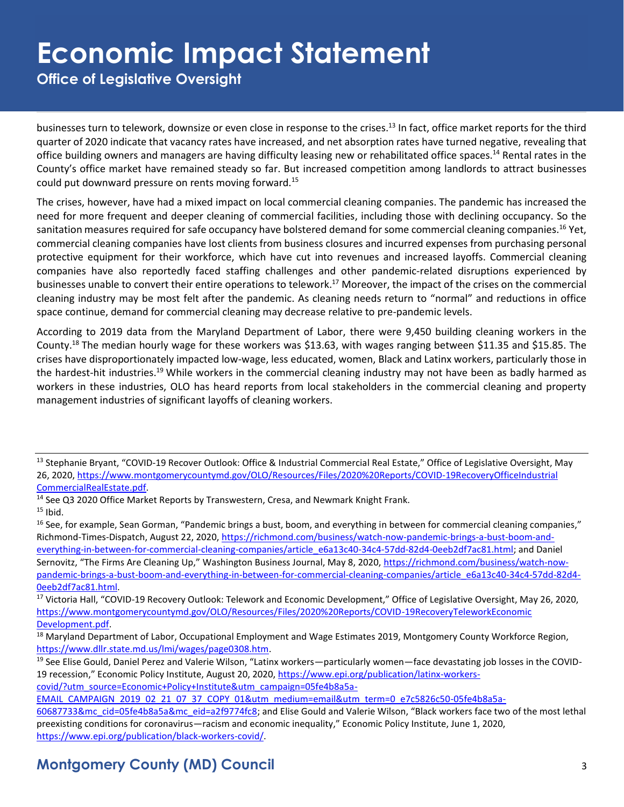**Office of Legislative Oversight**

businesses turn to telework, downsize or even close in response to the crises.<sup>13</sup> In fact, office market reports for the third quarter of 2020 indicate that vacancy rates have increased, and net absorption rates have turned negative, revealing that office building owners and managers are having difficulty leasing new or rehabilitated office spaces.<sup>14</sup> Rental rates in the County's office market have remained steady so far. But increased competition among landlords to attract businesses could put downward pressure on rents moving forward.<sup>15</sup>

The crises, however, have had a mixed impact on local commercial cleaning companies. The pandemic has increased the need for more frequent and deeper cleaning of commercial facilities, including those with declining occupancy. So the sanitation measures required for safe occupancy have bolstered demand for some commercial cleaning companies.<sup>16</sup> Yet, commercial cleaning companies have lost clients from business closures and incurred expenses from purchasing personal protective equipment for their workforce, which have cut into revenues and increased layoffs. Commercial cleaning companies have also reportedly faced staffing challenges and other pandemic-related disruptions experienced by businesses unable to convert their entire operations to telework.<sup>17</sup> Moreover, the impact of the crises on the commercial cleaning industry may be most felt after the pandemic. As cleaning needs return to "normal" and reductions in office space continue, demand for commercial cleaning may decrease relative to pre-pandemic levels.

According to 2019 data from the Maryland Department of Labor, there were 9,450 building cleaning workers in the County.<sup>18</sup> The median hourly wage for these workers was \$13.63, with wages ranging between \$11.35 and \$15.85. The crises have disproportionately impacted low-wage, less educated, women, Black and Latinx workers, particularly those in the hardest-hit industries.<sup>19</sup> While workers in the commercial cleaning industry may not have been as badly harmed as workers in these industries, OLO has heard reports from local stakeholders in the commercial cleaning and property management industries of significant layoffs of cleaning workers.

<sup>13</sup> Stephanie Bryant, "COVID-19 Recover Outlook: Office & Industrial Commercial Real Estate," Office of Legislative Oversight, May 26, 2020, [https://www.montgomerycountymd.gov/OLO/Resources/Files/2020%20Reports/COVID-19RecoveryOfficeIndustrial](https://www.montgomerycountymd.gov/OLO/Resources/Files/2020%20Reports/COVID-19RecoveryOfficeIndustrialCommercialRealEstate.pdf) [CommercialRealEstate.pdf.](https://www.montgomerycountymd.gov/OLO/Resources/Files/2020%20Reports/COVID-19RecoveryOfficeIndustrialCommercialRealEstate.pdf) 

<sup>&</sup>lt;sup>14</sup> See Q3 2020 Office Market Reports by Transwestern, Cresa, and Newmark Knight Frank.

 $15$  Ibid.

<sup>&</sup>lt;sup>16</sup> See, for example, Sean Gorman, "Pandemic brings a bust, boom, and everything in between for commercial cleaning companies," Richmond-Times-Dispatch, August 22, 2020[, https://richmond.com/business/watch-now-pandemic-brings-a-bust-boom-and](https://richmond.com/business/watch-now-pandemic-brings-a-bust-boom-and-everything-in-between-for-commercial-cleaning-companies/article_e6a13c40-34c4-57dd-82d4-0eeb2df7ac81.html)[everything-in-between-for-commercial-cleaning-companies/article\\_e6a13c40-34c4-57dd-82d4-0eeb2df7ac81.html;](https://richmond.com/business/watch-now-pandemic-brings-a-bust-boom-and-everything-in-between-for-commercial-cleaning-companies/article_e6a13c40-34c4-57dd-82d4-0eeb2df7ac81.html) and Daniel Sernovitz, "The Firms Are Cleaning Up," Washington Business Journal, May 8, 2020[, https://richmond.com/business/watch-now](https://richmond.com/business/watch-now-pandemic-brings-a-bust-boom-and-everything-in-between-for-commercial-cleaning-companies/article_e6a13c40-34c4-57dd-82d4-0eeb2df7ac81.html)[pandemic-brings-a-bust-boom-and-everything-in-between-for-commercial-cleaning-companies/article\\_e6a13c40-34c4-57dd-82d4-](https://richmond.com/business/watch-now-pandemic-brings-a-bust-boom-and-everything-in-between-for-commercial-cleaning-companies/article_e6a13c40-34c4-57dd-82d4-0eeb2df7ac81.html) [0eeb2df7ac81.html.](https://richmond.com/business/watch-now-pandemic-brings-a-bust-boom-and-everything-in-between-for-commercial-cleaning-companies/article_e6a13c40-34c4-57dd-82d4-0eeb2df7ac81.html) 

<sup>&</sup>lt;sup>17</sup> Victoria Hall, "COVID-19 Recovery Outlook: Telework and Economic Development," Office of Legislative Oversight, May 26, 2020, [https://www.montgomerycountymd.gov/OLO/Resources/Files/2020%20Reports/COVID-19RecoveryTeleworkEconomic](https://www.montgomerycountymd.gov/OLO/Resources/Files/2020%20Reports/COVID-19RecoveryTeleworkEconomicDevelopment.pdf) [Development.pdf.](https://www.montgomerycountymd.gov/OLO/Resources/Files/2020%20Reports/COVID-19RecoveryTeleworkEconomicDevelopment.pdf)

<sup>&</sup>lt;sup>18</sup> Maryland Department of Labor, Occupational Employment and Wage Estimates 2019, Montgomery County Workforce Region, [https://www.dllr.state.md.us/lmi/wages/page0308.htm.](https://www.dllr.state.md.us/lmi/wages/page0308.htm)

<sup>&</sup>lt;sup>19</sup> See Elise Gould, Daniel Perez and Valerie Wilson, "Latinx workers—particularly women—face devastating job losses in the COVID-19 recession," Economic Policy Institute, August 20, 2020, [https://www.epi.org/publication/latinx-workers](https://www.epi.org/publication/latinx-workers-covid/?utm_source=Economic+Policy+Institute&utm_campaign=05fe4b8a5a-EMAIL_CAMPAIGN_2019_02_21_07_37_COPY_01&utm_medium=email&utm_term=0_e7c5826c50-05fe4b8a5a-60687733&mc_cid=05fe4b8a5a&mc_eid=a2f9774fc8)[covid/?utm\\_source=Economic+Policy+Institute&utm\\_campaign=05fe4b8a5a-](https://www.epi.org/publication/latinx-workers-covid/?utm_source=Economic+Policy+Institute&utm_campaign=05fe4b8a5a-EMAIL_CAMPAIGN_2019_02_21_07_37_COPY_01&utm_medium=email&utm_term=0_e7c5826c50-05fe4b8a5a-60687733&mc_cid=05fe4b8a5a&mc_eid=a2f9774fc8)

[EMAIL\\_CAMPAIGN\\_2019\\_02\\_21\\_07\\_37\\_COPY\\_01&utm\\_medium=email&utm\\_term=0\\_e7c5826c50-05fe4b8a5a-](https://www.epi.org/publication/latinx-workers-covid/?utm_source=Economic+Policy+Institute&utm_campaign=05fe4b8a5a-EMAIL_CAMPAIGN_2019_02_21_07_37_COPY_01&utm_medium=email&utm_term=0_e7c5826c50-05fe4b8a5a-60687733&mc_cid=05fe4b8a5a&mc_eid=a2f9774fc8)

[<sup>60687733&</sup>amp;mc\\_cid=05fe4b8a5a&mc\\_eid=a2f9774fc8](https://www.epi.org/publication/latinx-workers-covid/?utm_source=Economic+Policy+Institute&utm_campaign=05fe4b8a5a-EMAIL_CAMPAIGN_2019_02_21_07_37_COPY_01&utm_medium=email&utm_term=0_e7c5826c50-05fe4b8a5a-60687733&mc_cid=05fe4b8a5a&mc_eid=a2f9774fc8); and Elise Gould and Valerie Wilson, "Black workers face two of the most lethal preexisting conditions for coronavirus—racism and economic inequality," Economic Policy Institute, June 1, 2020, [https://www.epi.org/publication/black-workers-covid/.](https://www.epi.org/publication/black-workers-covid/)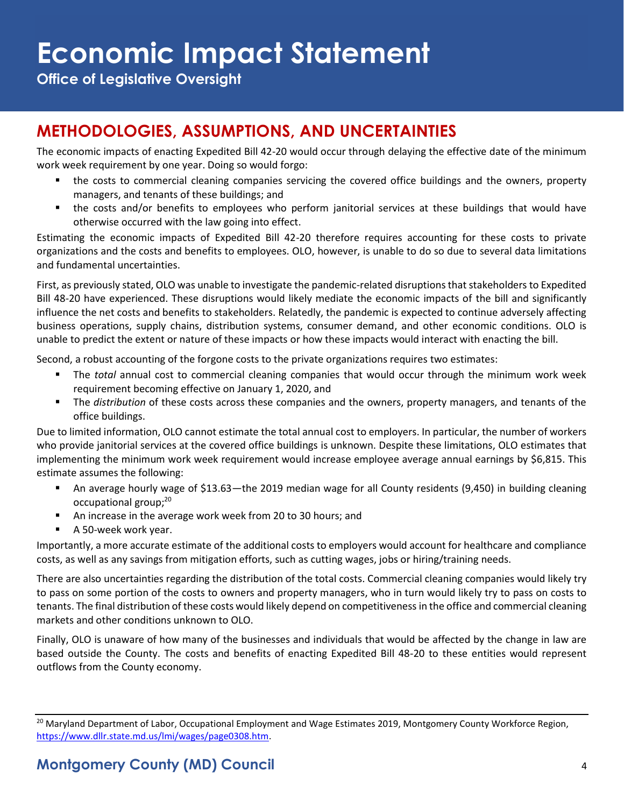**Office of Legislative Oversight**

### **METHODOLOGIES, ASSUMPTIONS, AND UNCERTAINTIES**

The economic impacts of enacting Expedited Bill 42-20 would occur through delaying the effective date of the minimum work week requirement by one year. Doing so would forgo:

- the costs to commercial cleaning companies servicing the covered office buildings and the owners, property managers, and tenants of these buildings; and
- the costs and/or benefits to employees who perform janitorial services at these buildings that would have otherwise occurred with the law going into effect.

Estimating the economic impacts of Expedited Bill 42-20 therefore requires accounting for these costs to private organizations and the costs and benefits to employees. OLO, however, is unable to do so due to several data limitations and fundamental uncertainties.

First, as previously stated, OLO was unable to investigate the pandemic-related disruptions that stakeholders to Expedited Bill 48-20 have experienced. These disruptions would likely mediate the economic impacts of the bill and significantly influence the net costs and benefits to stakeholders. Relatedly, the pandemic is expected to continue adversely affecting business operations, supply chains, distribution systems, consumer demand, and other economic conditions. OLO is unable to predict the extent or nature of these impacts or how these impacts would interact with enacting the bill.

Second, a robust accounting of the forgone costs to the private organizations requires two estimates:

- The *total* annual cost to commercial cleaning companies that would occur through the minimum work week requirement becoming effective on January 1, 2020, and
- The *distribution* of these costs across these companies and the owners, property managers, and tenants of the office buildings.

Due to limited information, OLO cannot estimate the total annual cost to employers. In particular, the number of workers who provide janitorial services at the covered office buildings is unknown. Despite these limitations, OLO estimates that implementing the minimum work week requirement would increase employee average annual earnings by \$6,815. This estimate assumes the following:

- An average hourly wage of \$13.63—the 2019 median wage for all County residents (9,450) in building cleaning occupational group;<sup>20</sup>
- An increase in the average work week from 20 to 30 hours; and
- A 50-week work year.

Importantly, a more accurate estimate of the additional costs to employers would account for healthcare and compliance costs, as well as any savings from mitigation efforts, such as cutting wages, jobs or hiring/training needs.

There are also uncertainties regarding the distribution of the total costs. Commercial cleaning companies would likely try to pass on some portion of the costs to owners and property managers, who in turn would likely try to pass on costs to tenants. The final distribution of these costs would likely depend on competitiveness in the office and commercial cleaning markets and other conditions unknown to OLO.

Finally, OLO is unaware of how many of the businesses and individuals that would be affected by the change in law are based outside the County. The costs and benefits of enacting Expedited Bill 48-20 to these entities would represent outflows from the County economy.

<sup>&</sup>lt;sup>20</sup> Maryland Department of Labor, Occupational Employment and Wage Estimates 2019, Montgomery County Workforce Region, [https://www.dllr.state.md.us/lmi/wages/page0308.htm.](https://www.dllr.state.md.us/lmi/wages/page0308.htm)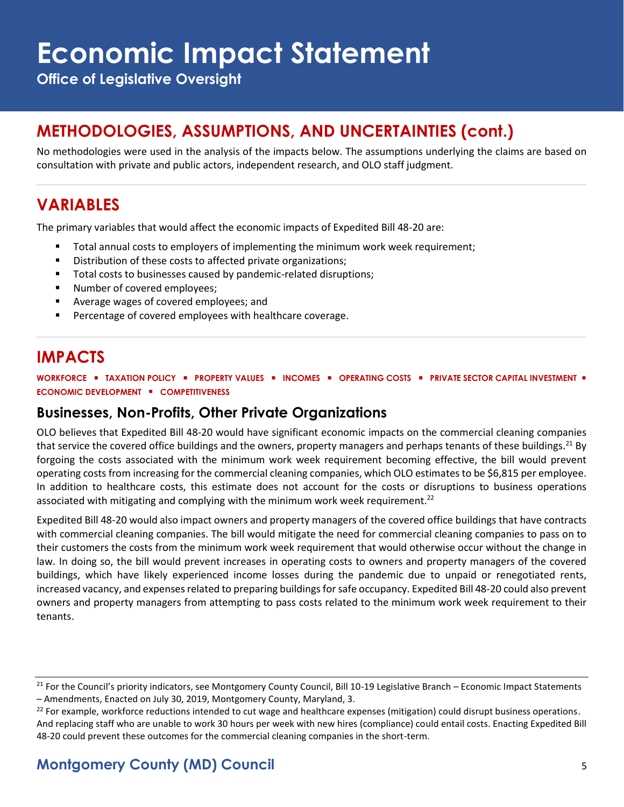**Office of Legislative Oversight**

#### **METHODOLOGIES, ASSUMPTIONS, AND UNCERTAINTIES (cont.)**

No methodologies were used in the analysis of the impacts below. The assumptions underlying the claims are based on consultation with private and public actors, independent research, and OLO staff judgment.

### **VARIABLES**

The primary variables that would affect the economic impacts of Expedited Bill 48-20 are:

- Total annual costs to employers of implementing the minimum work week requirement;
- Distribution of these costs to affected private organizations;
- Total costs to businesses caused by pandemic-related disruptions;
- Number of covered employees;
- Average wages of covered employees; and
- Percentage of covered employees with healthcare coverage.

### **IMPACTS**

**WORKFORCE** ▪ **TAXATION POLICY** ▪ **PROPERTY VALUES** ▪ **INCOMES** ▪ **OPERATING COSTS** ▪ **PRIVATE SECTOR CAPITAL INVESTMENT** ▪ **ECONOMIC DEVELOPMENT** ▪ **COMPETITIVENESS**

#### **Businesses, Non-Profits, Other Private Organizations**

OLO believes that Expedited Bill 48-20 would have significant economic impacts on the commercial cleaning companies that service the covered office buildings and the owners, property managers and perhaps tenants of these buildings.<sup>21</sup> By forgoing the costs associated with the minimum work week requirement becoming effective, the bill would prevent operating costs from increasing for the commercial cleaning companies, which OLO estimates to be \$6,815 per employee. In addition to healthcare costs, this estimate does not account for the costs or disruptions to business operations associated with mitigating and complying with the minimum work week requirement.<sup>22</sup>

Expedited Bill 48-20 would also impact owners and property managers of the covered office buildings that have contracts with commercial cleaning companies. The bill would mitigate the need for commercial cleaning companies to pass on to their customers the costs from the minimum work week requirement that would otherwise occur without the change in law. In doing so, the bill would prevent increases in operating costs to owners and property managers of the covered buildings, which have likely experienced income losses during the pandemic due to unpaid or renegotiated rents, increased vacancy, and expenses related to preparing buildings for safe occupancy. Expedited Bill 48-20 could also prevent owners and property managers from attempting to pass costs related to the minimum work week requirement to their tenants.

<sup>&</sup>lt;sup>21</sup> For the Council's priority indicators, see Montgomery County Council, Bill 10-19 Legislative Branch – Economic Impact Statements – Amendments, Enacted on July 30, 2019, Montgomery County, Maryland, 3.

 $22$  For example, workforce reductions intended to cut wage and healthcare expenses (mitigation) could disrupt business operations. And replacing staff who are unable to work 30 hours per week with new hires (compliance) could entail costs. Enacting Expedited Bill 48-20 could prevent these outcomes for the commercial cleaning companies in the short-term.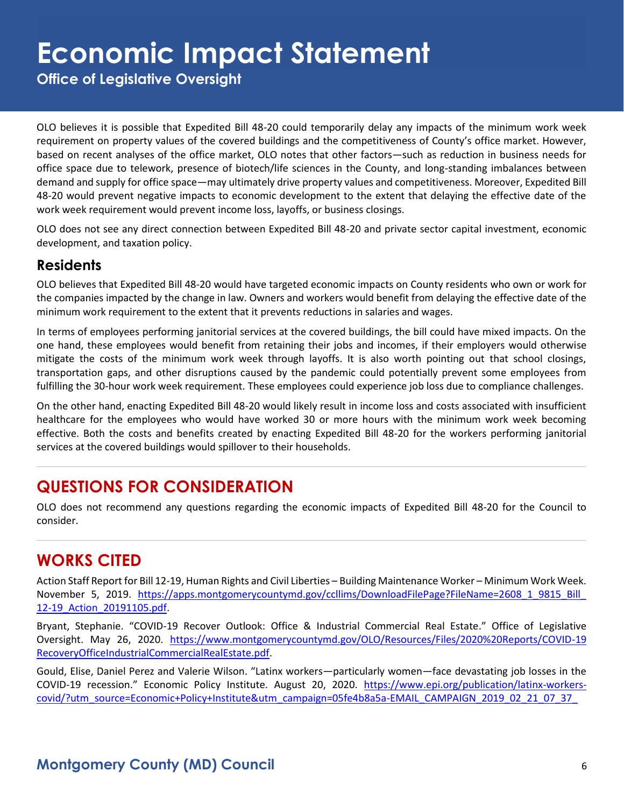**Office of Legislative Oversight**

OLO believes it is possible that Expedited Bill 48-20 could temporarily delay any impacts of the minimum work week requirement on property values of the covered buildings and the competitiveness of County's office market. However, based on recent analyses of the office market, OLO notes that other factors—such as reduction in business needs for office space due to telework, presence of biotech/life sciences in the County, and long-standing imbalances between demand and supply for office space—may ultimately drive property values and competitiveness. Moreover, Expedited Bill 48-20 would prevent negative impacts to economic development to the extent that delaying the effective date of the work week requirement would prevent income loss, layoffs, or business closings.

OLO does not see any direct connection between Expedited Bill 48-20 and private sector capital investment, economic development, and taxation policy.

#### **Residents**

OLO believes that Expedited Bill 48-20 would have targeted economic impacts on County residents who own or work for the companies impacted by the change in law. Owners and workers would benefit from delaying the effective date of the minimum work requirement to the extent that it prevents reductions in salaries and wages.

In terms of employees performing janitorial services at the covered buildings, the bill could have mixed impacts. On the one hand, these employees would benefit from retaining their jobs and incomes, if their employers would otherwise mitigate the costs of the minimum work week through layoffs. It is also worth pointing out that school closings, transportation gaps, and other disruptions caused by the pandemic could potentially prevent some employees from fulfilling the 30-hour work week requirement. These employees could experience job loss due to compliance challenges.

On the other hand, enacting Expedited Bill 48-20 would likely result in income loss and costs associated with insufficient healthcare for the employees who would have worked 30 or more hours with the minimum work week becoming effective. Both the costs and benefits created by enacting Expedited Bill 48-20 for the workers performing janitorial services at the covered buildings would spillover to their households.

#### **QUESTIONS FOR CONSIDERATION**

OLO does not recommend any questions regarding the economic impacts of Expedited Bill 48-20 for the Council to consider.

#### **WORKS CITED**

Action Staff Report for Bill 12-19, Human Rights and Civil Liberties – Building Maintenance Worker – Minimum Work Week. November 5, 2019. https://apps.montgomerycountymd.gov/ccllims/DownloadFilePage?FileName=2608 1\_9815\_Bill [12-19\\_Action\\_20191105.pdf.](https://apps.montgomerycountymd.gov/ccllims/DownloadFilePage?FileName=2608_1_9815_Bill_12-19_Action_20191105.pdf)

Bryant, Stephanie. "COVID-19 Recover Outlook: Office & Industrial Commercial Real Estate." Office of Legislative Oversight. May 26, 2020. [https://www.montgomerycountymd.gov/OLO/Resources/Files/2020%20Reports/COVID-19](https://www.montgomerycountymd.gov/OLO/Resources/Files/2020%20Reports/COVID-19RecoveryOfficeIndustrialCommercialRealEstate.pdf) [RecoveryOfficeIndustrialCommercialRealEstate.pdf.](https://www.montgomerycountymd.gov/OLO/Resources/Files/2020%20Reports/COVID-19RecoveryOfficeIndustrialCommercialRealEstate.pdf)

Gould, Elise, Daniel Perez and Valerie Wilson. "Latinx workers—particularly women—face devastating job losses in the COVID-19 recession." Economic Policy Institute. August 20, 2020. [https://www.epi.org/publication/latinx-workers](https://www.epi.org/publication/latinx-workers-covid/?utm_source=Economic+Policy+Institute&utm_campaign=05fe4b8a5a-EMAIL_CAMPAIGN_2019_02_21_07_37_COPY_01&utm_medium=email&utm_term=0_e7c5826c50-05fe4b8a5a-60687733&mc_cid=05fe4b8a5a&mc_eid=a2f9774fc8)[covid/?utm\\_source=Economic+Policy+Institute&utm\\_campaign=05fe4b8a5a-EMAIL\\_CAMPAIGN\\_2019\\_02\\_21\\_07\\_37\\_](https://www.epi.org/publication/latinx-workers-covid/?utm_source=Economic+Policy+Institute&utm_campaign=05fe4b8a5a-EMAIL_CAMPAIGN_2019_02_21_07_37_COPY_01&utm_medium=email&utm_term=0_e7c5826c50-05fe4b8a5a-60687733&mc_cid=05fe4b8a5a&mc_eid=a2f9774fc8)